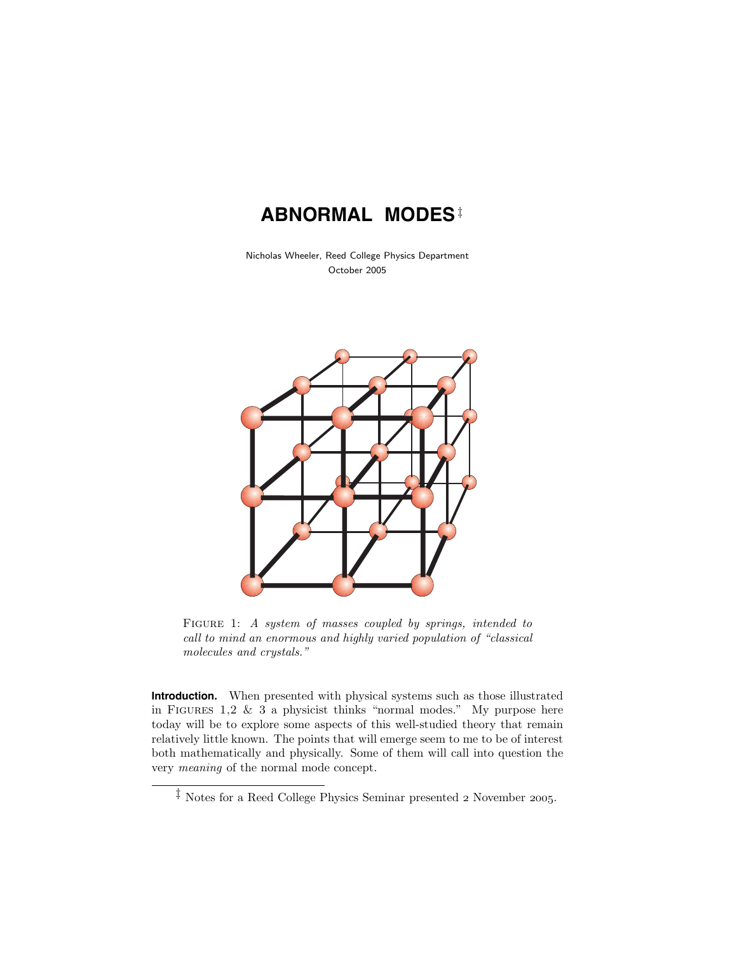# **ABNORMAL MODES**‡

Nicholas Wheeler, Reed College Physics Department October 2005



FIGURE 1: A system of masses coupled by springs, intended to call to mind an enormous and highly varied population of "classical molecules and crystals."

**Introduction.** When presented with physical systems such as those illustrated in FIGURES 1,2  $\&$  3 a physicist thinks "normal modes." My purpose here today will be to explore some aspects of this well-studied theory that remain relatively little known. The points that will emerge seem to me to be of interest both mathematically and physically. Some of them will call into question the very meaning of the normal mode concept.

<sup>‡</sup> Notes for a Reed College Physics Seminar presented *2* November *2005*.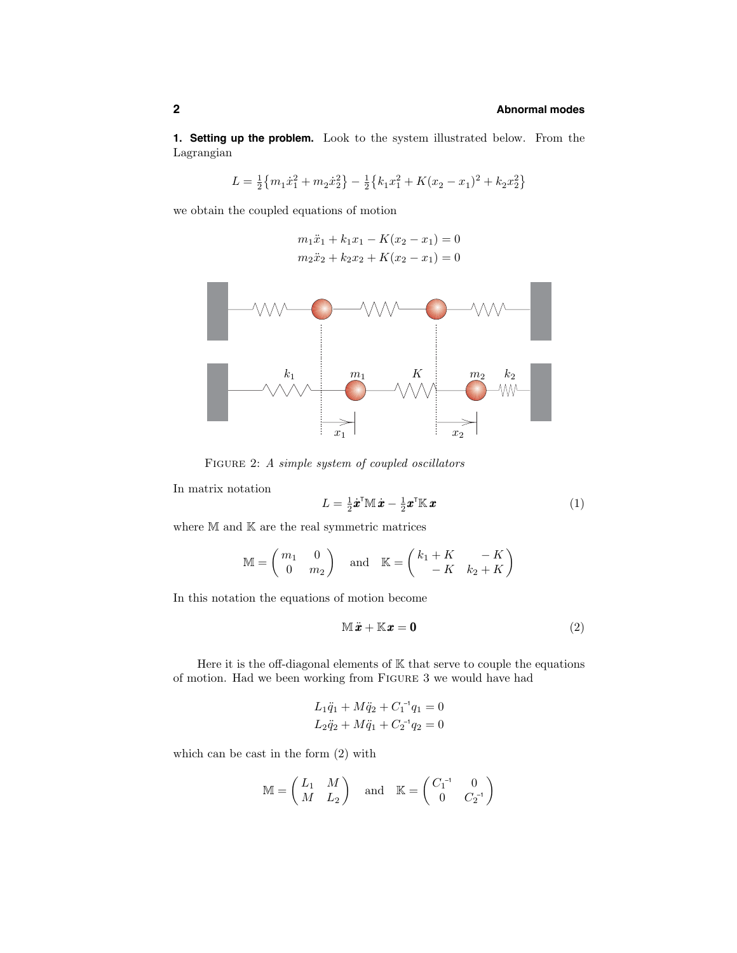**1. Setting up the problem.** Look to the system illustrated below. From the Lagrangian

$$
L = \frac{1}{2} \{ m_1 \dot{x}_1^2 + m_2 \dot{x}_2^2 \} - \frac{1}{2} \{ k_1 x_1^2 + K(x_2 - x_1)^2 + k_2 x_2^2 \}
$$

we obtain the coupled equations of motion

$$
m_1\ddot{x}_1 + k_1x_1 - K(x_2 - x_1) = 0
$$
  

$$
m_2\ddot{x}_2 + k_2x_2 + K(x_2 - x_1) = 0
$$



FIGURE 2: A simple system of coupled oscillators

In matrix notation

$$
L = \frac{1}{2}\dot{\boldsymbol{x}}^{\mathsf{T}}\mathbb{M}\dot{\boldsymbol{x}} - \frac{1}{2}\boldsymbol{x}^{\mathsf{T}}\mathbb{K}\boldsymbol{x}
$$
\n(1)

where  $M$  and  $K$  are the real symmetric matrices

$$
\mathbb{M} = \begin{pmatrix} m_1 & 0 \\ 0 & m_2 \end{pmatrix} \text{ and } \mathbb{K} = \begin{pmatrix} k_1 + K & -K \\ -K & k_2 + K \end{pmatrix}
$$

In this notation the equations of motion become

$$
\mathbb{M}\ddot{x} + \mathbb{K}x = \mathbf{0} \tag{2}
$$

Here it is the off-diagonal elements of  $K$  that serve to couple the equations of motion. Had we been working from Figure 3 we would have had

$$
L_1 \ddot{q}_1 + M \ddot{q}_2 + C_1^{-1} q_1 = 0
$$
  

$$
L_2 \ddot{q}_2 + M \ddot{q}_1 + C_2^{-1} q_2 = 0
$$

which can be cast in the form (2) with

$$
\mathbb{M} = \begin{pmatrix} L_1 & M \\ M & L_2 \end{pmatrix} \quad \text{and} \quad \mathbb{K} = \begin{pmatrix} C_1^{-1} & 0 \\ 0 & C_2^{-1} \end{pmatrix}
$$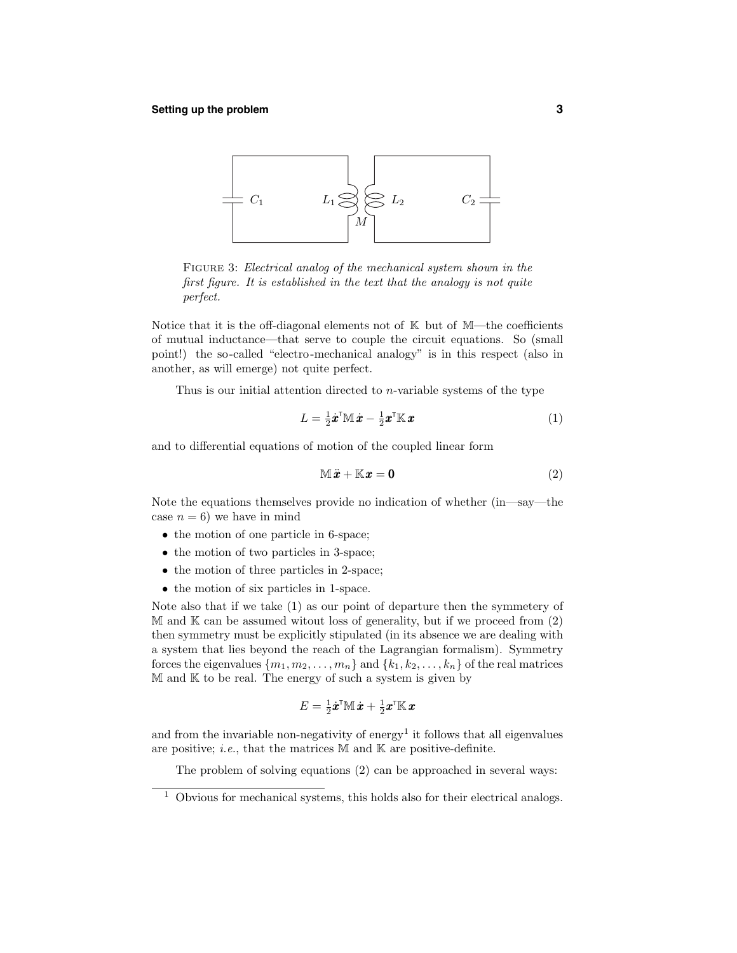#### **Setting up the problem 3**



FIGURE 3: Electrical analog of the mechanical system shown in the first figure. It is established in the text that the analogy is not quite perfect.

Notice that it is the off-diagonal elements not of  $K$  but of M—the coefficients of mutual inductance—that serve to couple the circuit equations. So (small point!) the so-called "electro-mechanical analogy" is in this respect (also in another, as will emerge) not quite perfect.

Thus is our initial attention directed to *n*-variable systems of the type

$$
L = \frac{1}{2}\dot{\boldsymbol{x}}^{\mathsf{T}}\mathbb{M}\dot{\boldsymbol{x}} - \frac{1}{2}\boldsymbol{x}^{\mathsf{T}}\mathbb{K}\boldsymbol{x}
$$
\n<sup>(1)</sup>

and to differential equations of motion of the coupled linear form

$$
\mathbb{M}\ddot{x} + \mathbb{K}x = \mathbf{0} \tag{2}
$$

Note the equations themselves provide no indication of whether (in—say—the case  $n = 6$ ) we have in mind

- the motion of one particle in 6-space;
- the motion of two particles in 3-space;
- the motion of three particles in 2-space;
- the motion of six particles in 1-space.

Note also that if we take (1) as our point of departure then the symmetery of  $M$  and  $K$  can be assumed witout loss of generality, but if we proceed from  $(2)$ then symmetry must be explicitly stipulated (in its absence we are dealing with a system that lies beyond the reach of the Lagrangian formalism). Symmetry forces the eigenvalues  $\{m_1, m_2, \ldots, m_n\}$  and  $\{k_1, k_2, \ldots, k_n\}$  of the real matrices  $M$  and  $K$  to be real. The energy of such a system is given by

$$
E = \tfrac{1}{2} \dot{\pmb{x}}^\intercal \mathbb{M} \, \dot{\pmb{x}} + \tfrac{1}{2} \pmb{x}^\intercal \mathbb{K} \, \pmb{x}
$$

and from the invariable non-negativity of energy<sup>1</sup> it follows that all eigenvalues are positive; *i.e.*, that the matrices  $M$  and  $K$  are positive-definite.

The problem of solving equations (2) can be approached in several ways:

 $1$  Obvious for mechanical systems, this holds also for their electrical analogs.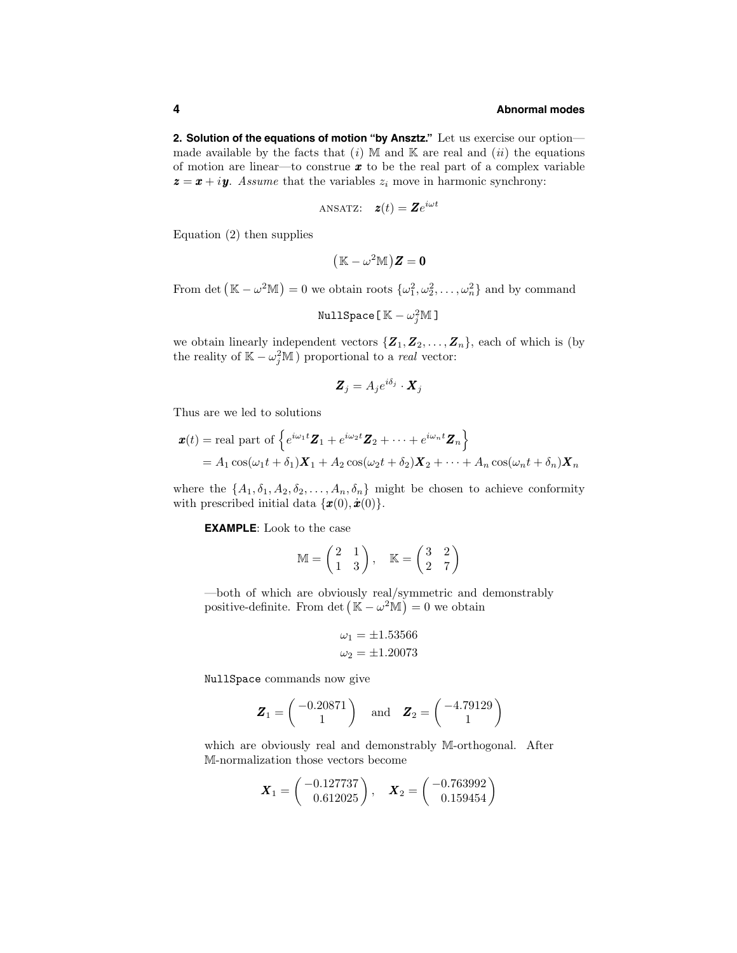**2. Solution of the equations of motion "by Ansztz."** Let us exercise our option made available by the facts that  $(i)$  M and K are real and  $(ii)$  the equations of motion are linear—to construe *x* to be the real part of a complex variable  $z = x + iy$ . Assume that the variables  $z_i$  move in harmonic synchrony:

ANSATZ: 
$$
\mathbf{z}(t) = \mathbf{Z}e^{i\omega t}
$$

Equation (2) then supplies

$$
\big(\mathbb{K} - \omega^2 \mathbb{M}\big) \boldsymbol{Z} = \boldsymbol{0}
$$

From det  $(\mathbb{K} - \omega^2 \mathbb{M}) = 0$  we obtain roots  $\{\omega_1^2, \omega_2^2, \dots, \omega_n^2\}$  and by command

$$
\texttt{NullSpace} \left[ \, \mathbb{K} - \omega_j^2 \mathbb{M} \, \right]
$$

we obtain linearly independent vectors  $\{Z_1, Z_2, \ldots, Z_n\}$ , each of which is (by the reality of  $\mathbb{K} - \omega_j^2 \mathbb{M}$ ) proportional to a *real* vector:

$$
\boldsymbol{Z}_j = A_j e^{i\delta_j} \cdot \boldsymbol{X}_j
$$

Thus are we led to solutions

$$
\mathbf{x}(t) = \text{real part of } \left\{ e^{i\omega_1 t} \mathbf{Z}_1 + e^{i\omega_2 t} \mathbf{Z}_2 + \dots + e^{i\omega_n t} \mathbf{Z}_n \right\}
$$
  
=  $A_1 \cos(\omega_1 t + \delta_1) \mathbf{X}_1 + A_2 \cos(\omega_2 t + \delta_2) \mathbf{X}_2 + \dots + A_n \cos(\omega_n t + \delta_n) \mathbf{X}_n$ 

where the  $\{A_1, \delta_1, A_2, \delta_2, \ldots, A_n, \delta_n\}$  might be chosen to achieve conformity with prescribed initial data  $\{\boldsymbol{x}(0), \dot{\boldsymbol{x}}(0)\}.$ 

**EXAMPLE**: Look to the case

$$
\mathbb{M} = \begin{pmatrix} 2 & 1 \\ 1 & 3 \end{pmatrix}, \quad \mathbb{K} = \begin{pmatrix} 3 & 2 \\ 2 & 7 \end{pmatrix}
$$

—both of which are obviously real/symmetric and demonstrably positive-definite. From det  $(\mathbb{K} - \omega^2 \mathbb{M}) = 0$  we obtain

$$
\omega_1 = \pm 1.53566
$$
  

$$
\omega_2 = \pm 1.20073
$$

NullSpace commands now give

$$
\boldsymbol{Z}_1 = \begin{pmatrix} -0.20871 \\ 1 \end{pmatrix} \quad \text{and} \quad \boldsymbol{Z}_2 = \begin{pmatrix} -4.79129 \\ 1 \end{pmatrix}
$$

which are obviously real and demonstrably M-orthogonal. After M-normalization those vectors become

$$
\boldsymbol{X}_1 = \begin{pmatrix} -0.127737 \\ 0.612025 \end{pmatrix}, \quad \boldsymbol{X}_2 = \begin{pmatrix} -0.763992 \\ 0.159454 \end{pmatrix}
$$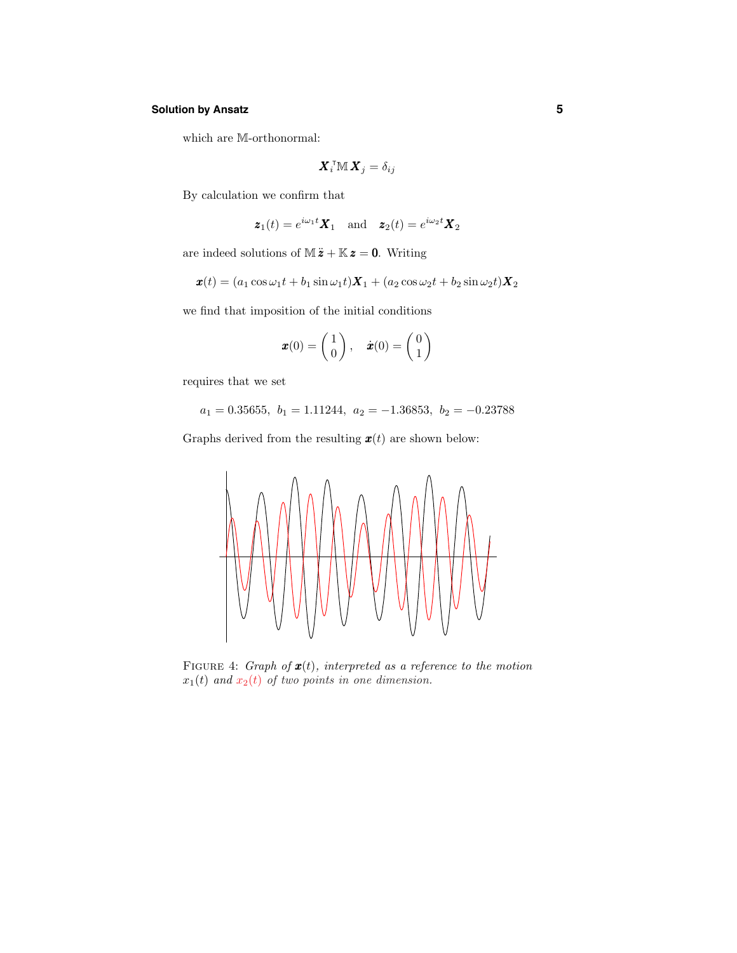# **Solution by Ansatz 5**

which are M-orthonormal:

$$
\bm{X}_i^{\sf T}\mathbb{M}\,\bm{X}_j=\delta_{ij}
$$

By calculation we confirm that

$$
\boldsymbol{z}_1(t) = e^{i\omega_1 t} \boldsymbol{X}_1
$$
 and  $\boldsymbol{z}_2(t) = e^{i\omega_2 t} \boldsymbol{X}_2$ 

are indeed solutions of  $M\ddot{\mathbf{z}} + \mathbb{K}\mathbf{z} = \mathbf{0}$ . Writing

$$
\boldsymbol{x}(t) = (a_1 \cos \omega_1 t + b_1 \sin \omega_1 t)\boldsymbol{X}_1 + (a_2 \cos \omega_2 t + b_2 \sin \omega_2 t)\boldsymbol{X}_2
$$

we find that imposition of the initial conditions

$$
\boldsymbol{x}(0) = \begin{pmatrix} 1 \\ 0 \end{pmatrix}, \quad \dot{\boldsymbol{x}}(0) = \begin{pmatrix} 0 \\ 1 \end{pmatrix}
$$

requires that we set

 $a_1 = 0.35655$ ,  $b_1 = 1.11244$ ,  $a_2 = -1.36853$ ,  $b_2 = -0.23788$ 

Graphs derived from the resulting  $\mathbf{x}(t)$  are shown below:



FIGURE 4: Graph of  $x(t)$ , interpreted as a reference to the motion  $x_1(t)$  and  $x_2(t)$  of two points in one dimension.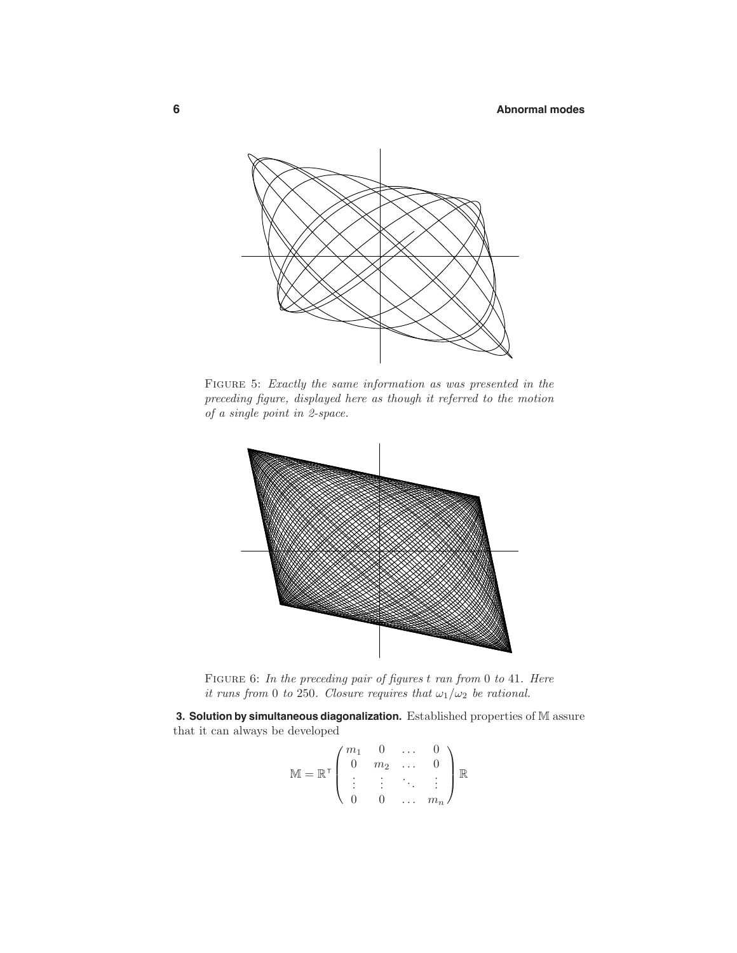

Figure 5: Exactly the same information as was presented in the preceding figure, displayed here as though it referred to the motion of a single point in 2-space.



FIGURE 6: In the preceding pair of figures *t* ran from 0 to 41. Here it runs from 0 to 250. Closure requires that  $\omega_1/\omega_2$  be rational.

**3. Solution by simultaneous diagonalization.** Established properties of M assure that it can always be developed

$$
\mathbb{M} = \mathbb{R}^{\mathsf{T}} \begin{pmatrix} m_1 & 0 & \dots & 0 \\ 0 & m_2 & \dots & 0 \\ \vdots & \vdots & \ddots & \vdots \\ 0 & 0 & \dots & m_n \end{pmatrix} \mathbb{R}
$$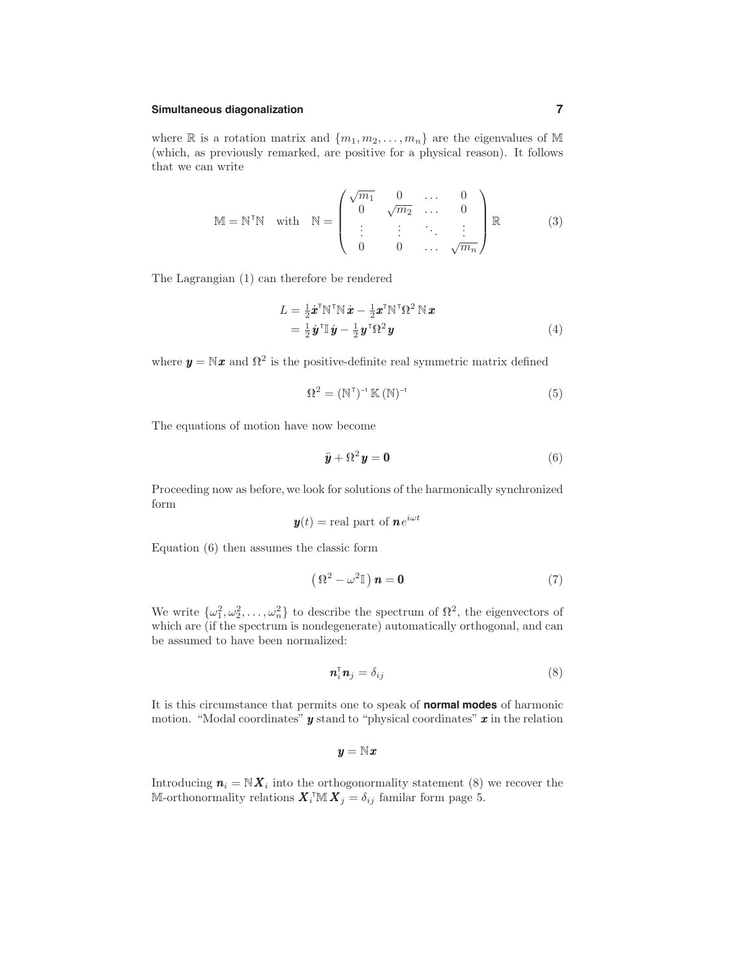## **Simultaneous diagonalization 7**

where  $\mathbb R$  is a rotation matrix and  $\{m_1, m_2, \ldots, m_n\}$  are the eigenvalues of M (which, as previously remarked, are positive for a physical reason). It follows that we can write

$$
\mathbb{M} = \mathbb{N}^{\mathsf{T}}\mathbb{N} \quad \text{with} \quad \mathbb{N} = \begin{pmatrix} \sqrt{m_1} & 0 & \dots & 0 \\ 0 & \sqrt{m_2} & \dots & 0 \\ \vdots & \vdots & \ddots & \vdots \\ 0 & 0 & \dots & \sqrt{m_n} \end{pmatrix} \mathbb{R} \tag{3}
$$

The Lagrangian (1) can therefore be rendered

$$
L = \frac{1}{2}\dot{\boldsymbol{x}}^{\mathrm{T}}\mathbb{N}^{\mathrm{T}}\mathbb{N}\dot{\boldsymbol{x}} - \frac{1}{2}\boldsymbol{x}^{\mathrm{T}}\mathbb{N}^{\mathrm{T}}\boldsymbol{\Omega}^{2}\mathbb{N}\boldsymbol{x}
$$
  
=  $\frac{1}{2}\dot{\boldsymbol{y}}^{\mathrm{T}}\mathbb{I}\dot{\boldsymbol{y}} - \frac{1}{2}\boldsymbol{y}^{\mathrm{T}}\boldsymbol{\Omega}^{2}\boldsymbol{y}$  (4)

where  $y = Nx$  and  $\Omega^2$  is the positive-definite real symmetric matrix defined

$$
\Omega^2 = (\mathbb{N}^{\mathsf{T}})^{-1} \mathbb{K} (\mathbb{N})^{-1}
$$
 (5)

The equations of motion have now become

$$
\ddot{\mathbf{y}} + \Omega^2 \mathbf{y} = \mathbf{0} \tag{6}
$$

Proceeding now as before, we look for solutions of the harmonically synchronized form

$$
\mathbf{y}(t) = \text{real part of } \mathbf{n}e^{i\omega t}
$$

Equation (6) then assumes the classic form

$$
\left(\,\mathbf{P}^2 - \omega^2\mathbb{I}\,\right)\mathbf{n} = \mathbf{0} \tag{7}
$$

We write  $\{\omega_1^2, \omega_2^2, \ldots, \omega_n^2\}$  to describe the spectrum of  $\mathbb{R}^2$ , the eigenvectors of which are (if the spectrum is nondegenerate) automatically orthogonal, and can be assumed to have been normalized:

$$
\mathbf{n}_i^{\mathrm{T}} \mathbf{n}_j = \delta_{ij} \tag{8}
$$

It is this circumstance that permits one to speak of **normal modes** of harmonic motion. "Modal coordinates" *y* stand to "physical coordinates" *x* in the relation

$$
\pmb{y} = \mathbb{N}\pmb{x}
$$

Introducing  $n_i = N X_i$  into the orthogonormality statement (8) we recover the M-orthonormality relations  $\mathbf{X}_i^{\text{T}} \mathbb{M} \mathbf{X}_j = \delta_{ij}$  familar form page 5.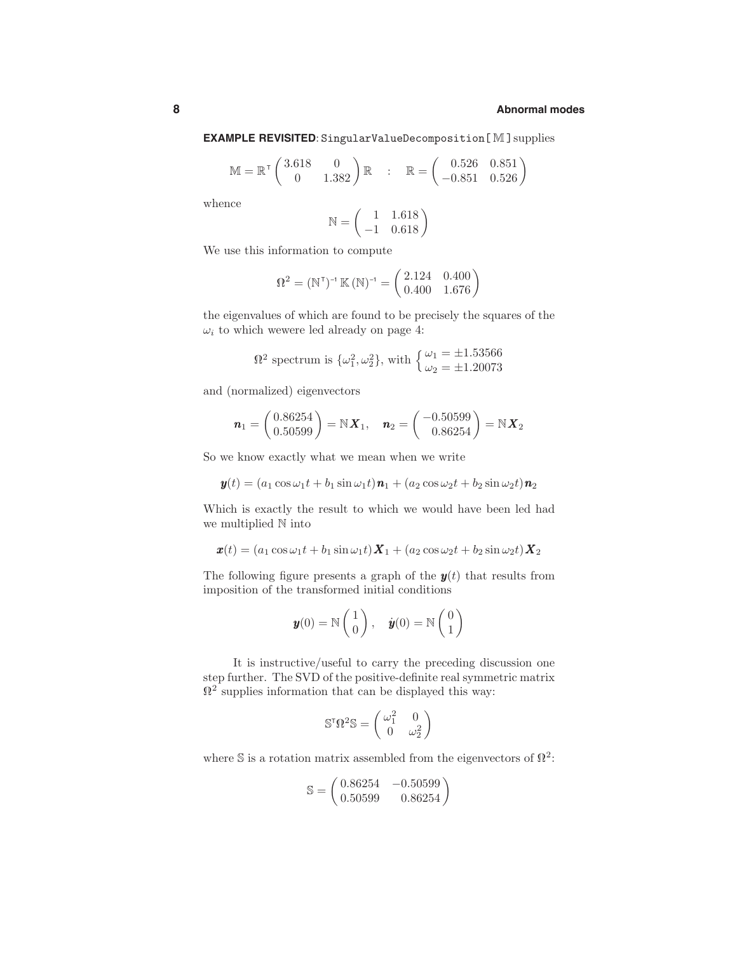## **EXAMPLE REVISITED**: SingularValueDecomposition [M] supplies

$$
\mathbb{M} = \mathbb{R}^{\mathsf{T}} \begin{pmatrix} 3.618 & 0 \\ 0 & 1.382 \end{pmatrix} \mathbb{R} : \mathbb{R} = \begin{pmatrix} 0.526 & 0.851 \\ -0.851 & 0.526 \end{pmatrix}
$$

whence

$$
\mathbb{N} = \begin{pmatrix} 1 & 1.618 \\ -1 & 0.618 \end{pmatrix}
$$

We use this information to compute

$$
\Omega^2 = (\mathbb{N}^{\mathsf{T}})^{-1} \mathbb{K} (\mathbb{N})^{-1} = \begin{pmatrix} 2.124 & 0.400 \\ 0.400 & 1.676 \end{pmatrix}
$$

the eigenvalues of which are found to be precisely the squares of the  $\omega_i$  to which wewere led already on page 4:

$$
\Omega^2
$$
 spectrum is  $\{\omega_1^2, \omega_2^2\}$ , with  $\begin{cases} \omega_1 = \pm 1.53566 \\ \omega_2 = \pm 1.20073 \end{cases}$ 

and (normalized) eigenvectors

$$
\boldsymbol{n}_1 = \begin{pmatrix} 0.86254 \\ 0.50599 \end{pmatrix} = \mathbb{N} \boldsymbol{X}_1, \quad \boldsymbol{n}_2 = \begin{pmatrix} -0.50599 \\ 0.86254 \end{pmatrix} = \mathbb{N} \boldsymbol{X}_2
$$

So we know exactly what we mean when we write

$$
\mathbf{y}(t) = (a_1 \cos \omega_1 t + b_1 \sin \omega_1 t)\mathbf{n}_1 + (a_2 \cos \omega_2 t + b_2 \sin \omega_2 t)\mathbf{n}_2
$$

Which is exactly the result to which we would have been led had we multiplied N into

$$
\boldsymbol{x}(t) = (a_1 \cos \omega_1 t + b_1 \sin \omega_1 t) \boldsymbol{X}_1 + (a_2 \cos \omega_2 t + b_2 \sin \omega_2 t) \boldsymbol{X}_2
$$

The following figure presents a graph of the  $y(t)$  that results from imposition of the transformed initial conditions

$$
\mathbf{y}(0) = \mathbb{N}\begin{pmatrix} 1 \\ 0 \end{pmatrix}, \quad \dot{\mathbf{y}}(0) = \mathbb{N}\begin{pmatrix} 0 \\ 1 \end{pmatrix}
$$

It is instructive/useful to carry the preceding discussion one step further. The SVD of the positive-definite real symmetric matrix  $\Omega^2$  supplies information that can be displayed this way:

$$
\mathbb{S}^{\mathsf{T}} \Omega^2 \mathbb{S} = \begin{pmatrix} \omega_1^2 & 0 \\ 0 & \omega_2^2 \end{pmatrix}
$$

where S is a rotation matrix assembled from the eigenvectors of  $\mathbb{R}^2$ :

$$
\mathbb{S} = \begin{pmatrix} 0.86254 & -0.50599 \\ 0.50599 & 0.86254 \end{pmatrix}
$$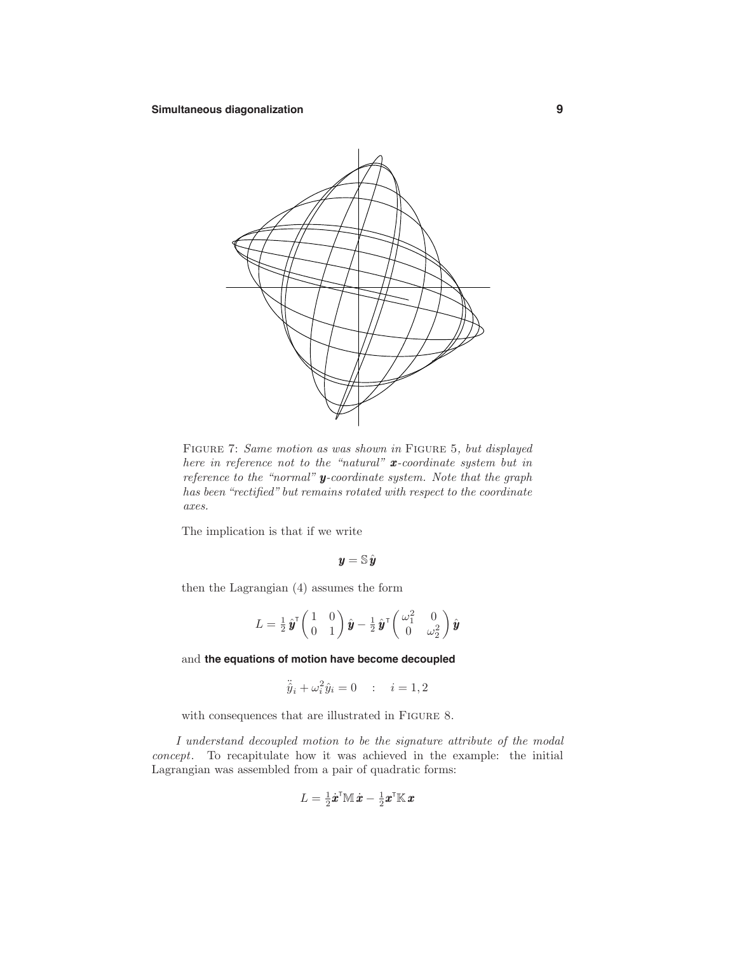

FIGURE 7: Same motion as was shown in FIGURE 5, but displayed here in reference not to the "natural" *x*-coordinate system but in reference to the "normal" *y*-coordinate system. Note that the graph has been "rectified" but remains rotated with respect to the coordinate axes.

The implication is that if we write

$$
\bm{y}=\mathbb{S}\,\hat{\bm{y}}
$$

then the Lagrangian (4) assumes the form

$$
L=\tfrac{1}{2}\,\hat{\bm{y}}^\intercal \begin{pmatrix} 1 & 0 \\ 0 & 1 \end{pmatrix} \hat{\bm{y}}-\tfrac{1}{2}\,\hat{\bm{y}}^\intercal \begin{pmatrix} \omega_1^2 & 0 \\ 0 & \omega_2^2 \end{pmatrix} \hat{\bm{y}}
$$

and **the equations of motion have become decoupled**

$$
\ddot{\hat{y}}_i + \omega_i^2 \hat{y}_i = 0 \qquad ; \quad i = 1, 2
$$

with consequences that are illustrated in FIGURE 8.

I understand decoupled motion to be the signature attribute of the modal concept. To recapitulate how it was achieved in the example: the initial Lagrangian was assembled from a pair of quadratic forms:

$$
L = \tfrac{1}{2} \dot{\boldsymbol{x}}^\textsf{T} \mathbb{M} \, \dot{\boldsymbol{x}} - \tfrac{1}{2} \boldsymbol{x}^\textsf{T} \mathbb{K} \, \boldsymbol{x}
$$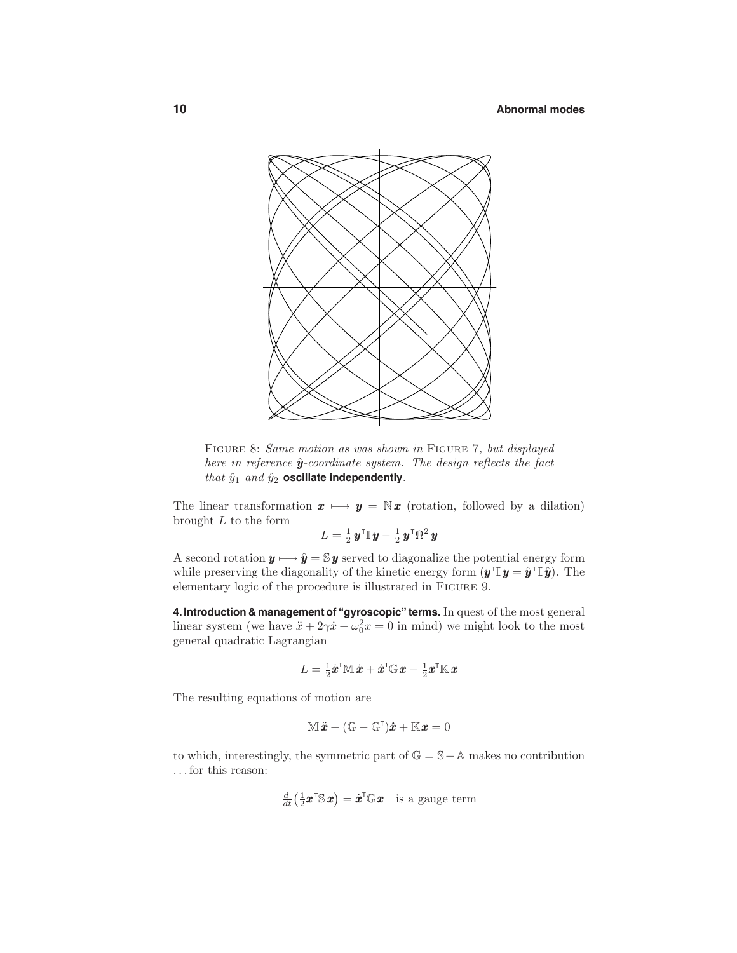

FIGURE 8: Same motion as was shown in FIGURE 7, but displayed here in reference  $\hat{y}$ -coordinate system. The design reflects the fact that  $\hat{y}_1$  and  $\hat{y}_2$  oscillate independently.

The linear transformation  $x \mapsto y = \mathbb{N}x$  (rotation, followed by a dilation) brought *L* to the form

$$
L = \tfrac{1}{2} \boldsymbol{y}^\intercal \mathbb{I} \, \boldsymbol{y} - \tfrac{1}{2} \, \boldsymbol{y}^\intercal \Omega^2 \, \boldsymbol{y}
$$

A second rotation  $y \mapsto \hat{y} = \mathbb{S} y$  served to diagonalize the potential energy form while preserving the diagonality of the kinetic energy form  $(y^{\dagger} \mathbf{y} = \hat{y}^{\dagger} \mathbf{y})$ . The elementary logic of the procedure is illustrated in Figure 9.

**4.Introduction & management of "gyroscopic" terms.** In quest of the most general linear system (we have  $\ddot{x} + 2\gamma \dot{x} + \omega_0^2 x = 0$  in mind) we might look to the most general quadratic Lagrangian

$$
L = \tfrac{1}{2} \dot{\boldsymbol{x}}^\text{\tiny T} \mathbb{M} \, \dot{\boldsymbol{x}} + \dot{\boldsymbol{x}}^\text{\tiny T} \mathbb{G} \, \boldsymbol{x} - \tfrac{1}{2} \boldsymbol{x}^\text{\tiny T} \mathbb{K} \, \boldsymbol{x}
$$

The resulting equations of motion are

$$
\mathbb{M}\ddot{\bm{x}} + (\mathbb{G} - \mathbb{G}^{\mathsf{T}})\dot{\bm{x}} + \mathbb{K}\bm{x} = 0
$$

to which, interestingly, the symmetric part of  $\mathbb{G} = \mathbb{S} + \mathbb{A}$  makes no contribution *...* for this reason:

$$
\frac{d}{dt} \left( \frac{1}{2} \boldsymbol{x}^\mathsf{T} \mathbb{S} \, \boldsymbol{x} \right) = \dot{\boldsymbol{x}}^\mathsf{T} \mathbb{G} \, \boldsymbol{x} \quad \text{is a gauge term}
$$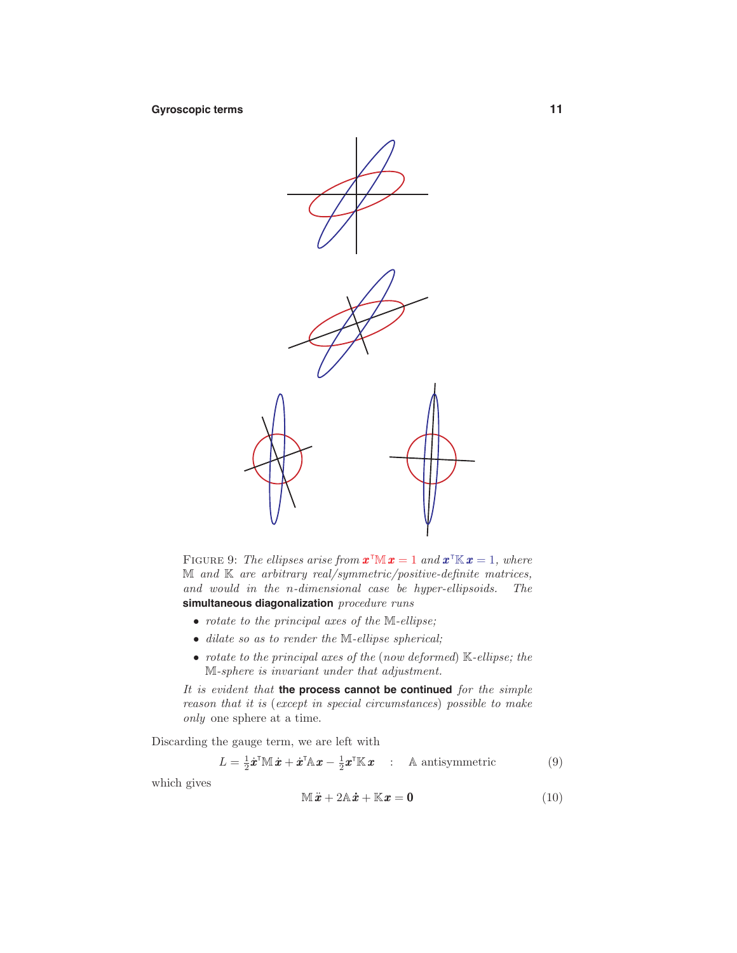**Gyroscopic terms 11**



FIGURE 9: The ellipses arise from  $\mathbf{x}^{\text{T}}\mathbf{M} \mathbf{x} = 1$  and  $\mathbf{x}^{\text{T}}\mathbf{K} \mathbf{x} = 1$ , where  $M$  and  $K$  are arbitrary real/symmetric/positive-definite matrices, and would in the *n*-dimensional case be hyper-ellipsoids. The simultaneous diagonalization procedure runs

- rotate to the principal axes of the M-ellipse;
- dilate so as to render the M-ellipse spherical;
- rotate to the principal axes of the (now deformed)  $\mathbb{K}\text{-ellipse}$ ; the M-sphere is invariant under that adjustment.

It is evident that **the process cannot be continued** for the simple reason that it is (except in special circumstances) possible to make only one sphere at a time.

Discarding the gauge term, we are left with

$$
L = \frac{1}{2}\dot{\boldsymbol{x}}^{\mathsf{T}}\mathbb{M}\dot{\boldsymbol{x}} + \dot{\boldsymbol{x}}^{\mathsf{T}}\mathbb{A}\boldsymbol{x} - \frac{1}{2}\boldsymbol{x}^{\mathsf{T}}\mathbb{K}\boldsymbol{x} \quad : \quad \text{A antisymmetric} \tag{9}
$$

which gives

$$
\mathbb{M}\ddot{x} + 2\mathbb{A}\dot{x} + \mathbb{K}x = \mathbf{0} \tag{10}
$$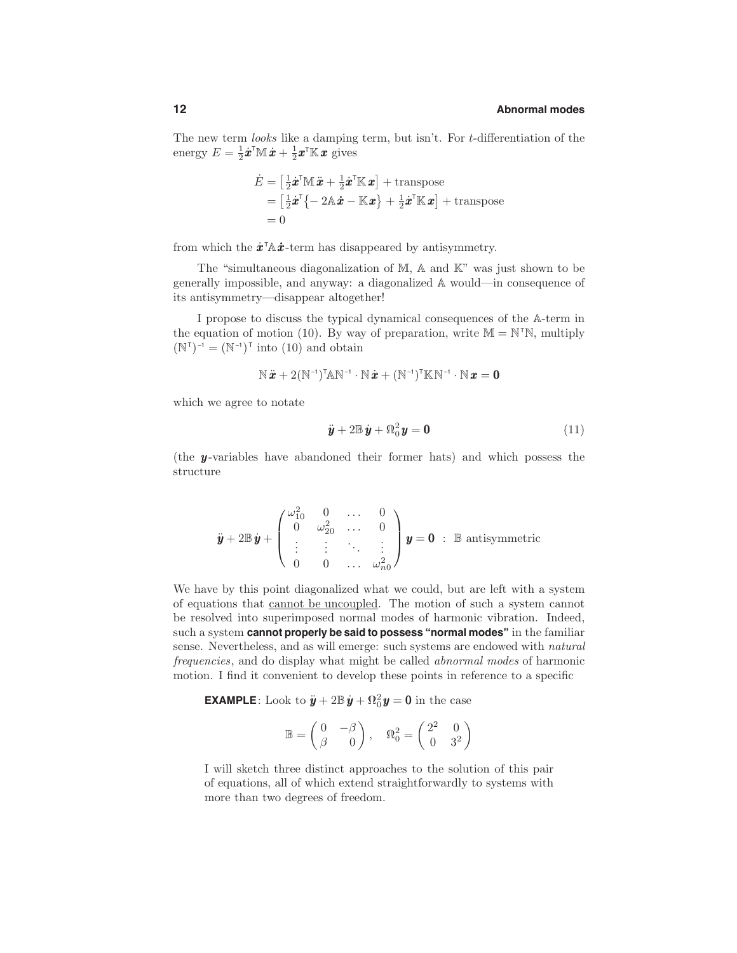The new term looks like a damping term, but isn't. For *t*-differentiation of the energy  $E = \frac{1}{2}\dot{x}^{\text{T}}\mathbb{M}\,\dot{x} + \frac{1}{2}x^{\text{T}}\mathbb{K}\,x$  gives

$$
\dot{E} = \left[\frac{1}{2}\dot{\boldsymbol{x}}^{\mathsf{T}}\mathbb{M}\ddot{\boldsymbol{x}} + \frac{1}{2}\dot{\boldsymbol{x}}^{\mathsf{T}}\mathbb{K}\boldsymbol{x}\right] + \text{transpose}
$$
\n
$$
= \left[\frac{1}{2}\dot{\boldsymbol{x}}^{\mathsf{T}}\{-2\mathbb{A}\dot{\boldsymbol{x}} - \mathbb{K}\boldsymbol{x}\} + \frac{1}{2}\dot{\boldsymbol{x}}^{\mathsf{T}}\mathbb{K}\boldsymbol{x}\right] + \text{transpose}
$$
\n
$$
= 0
$$

from which the  $\dot{x}^{\dagger} \mathbf{A} \dot{x}$ -term has disappeared by antisymmetry.

The "simultaneous diagonalization of M, A and K" was just shown to be generally impossible, and anyway: a diagonalized A would—in consequence of its antisymmetry—disappear altogether!

I propose to discuss the typical dynamical consequences of the A-term in the equation of motion (10). By way of preparation, write  $M = N^{T}N$ , multiply  $(N<sup>\dagger</sup>)<sup>-1</sup> = (N<sup>-1</sup>)<sup>\dagger</sup>$  into (10) and obtain

$$
\mathbb{N}\,\ddot{\pmb{x}}+2(\mathbb{N}^{\text{-}1})^{\text{T}}\mathbb{A}\mathbb{N}^{\text{-}1}\cdot\mathbb{N}\,\dot{\pmb{x}}+(\mathbb{N}^{\text{-}1})^{\text{T}}\mathbb{K}\mathbb{N}^{\text{-}1}\cdot\mathbb{N}\,\pmb{x}=\pmb{0}
$$

which we agree to notate

$$
\ddot{\boldsymbol{y}} + 2\mathbb{B}\,\dot{\boldsymbol{y}} + \Omega_0^2\boldsymbol{y} = \mathbf{0} \tag{11}
$$

(the *y* -variables have abandoned their former hats) and which possess the structure

$$
\ddot{\mathbf{y}} + 2\mathbb{B}\dot{\mathbf{y}} + \begin{pmatrix} \omega_{10}^2 & 0 & \dots & 0 \\ 0 & \omega_{20}^2 & \dots & 0 \\ \vdots & \vdots & \ddots & \vdots \\ 0 & 0 & \dots & \omega_{n0}^2 \end{pmatrix} \mathbf{y} = \mathbf{0} : \mathbb{B} \text{ antisymmetric}
$$

We have by this point diagonalized what we could, but are left with a system of equations that cannot be uncoupled. The motion of such a system cannot be resolved into superimposed normal modes of harmonic vibration. Indeed, such a system **cannot properly be said to possess "normal modes"** in the familiar sense. Nevertheless, and as will emerge: such systems are endowed with natural frequencies, and do display what might be called abnormal modes of harmonic motion. I find it convenient to develop these points in reference to a specific

**EXAMPLE**: Look to  $\ddot{\mathbf{y}} + 2\mathbb{B}\dot{\mathbf{y}} + \Omega_0^2 \mathbf{y} = \mathbf{0}$  in the case

$$
\mathbb{B} = \begin{pmatrix} 0 & -\beta \\ \beta & 0 \end{pmatrix}, \quad \Omega_0^2 = \begin{pmatrix} 2^2 & 0 \\ 0 & 3^2 \end{pmatrix}
$$

I will sketch three distinct approaches to the solution of this pair of equations, all of which extend straightforwardly to systems with more than two degrees of freedom.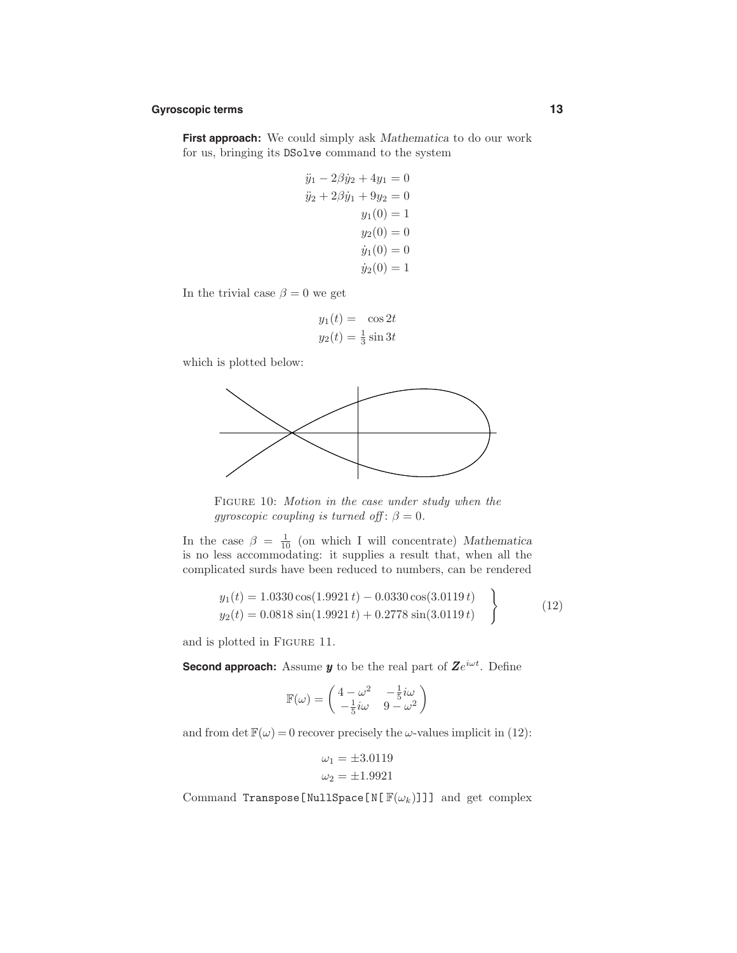#### **Gyroscopic terms 13**

**First approach:** We could simply ask *Mathematica* to do our work for us, bringing its DSolve command to the system

$$
\ddot{y}_1 - 2\beta \dot{y}_2 + 4y_1 = 0
$$
  

$$
\ddot{y}_2 + 2\beta \dot{y}_1 + 9y_2 = 0
$$
  

$$
y_1(0) = 1
$$
  

$$
y_2(0) = 0
$$
  

$$
\dot{y}_1(0) = 0
$$
  

$$
\dot{y}_2(0) = 1
$$

In the trivial case  $\beta = 0$  we get

$$
y_1(t) = \cos 2t
$$
  

$$
y_2(t) = \frac{1}{3}\sin 3t
$$

which is plotted below:



FIGURE 10: Motion in the case under study when the gyroscopic coupling is turned off:  $\beta = 0$ .

In the case  $\beta = \frac{1}{10}$  (on which I will concentrate) *Mathematica* is no less accommodating: it supplies a result that, when all the complicated surds have been reduced to numbers, can be rendered

$$
y_1(t) = 1.0330 \cos(1.9921 t) - 0.0330 \cos(3.0119 t)
$$
  
\n
$$
y_2(t) = 0.0818 \sin(1.9921 t) + 0.2778 \sin(3.0119 t)
$$
 (12)

and is plotted in Figure 11.

**Second approach:** Assume *y* to be the real part of *Zeiωt*. Define

$$
\mathbb{F}(\omega) = \begin{pmatrix} 4 - \omega^2 & -\frac{1}{5}i\omega \\ -\frac{1}{5}i\omega & 9 - \omega^2 \end{pmatrix}
$$

and from  $\det \mathbb{F}(\omega) = 0$  recover precisely the  $\omega$ -values implicit in (12):

$$
\omega_1 = \pm 3.0119
$$
  

$$
\omega_2 = \pm 1.9921
$$

Command Transpose[NullSpace[N[ $\mathbb{F}(\omega_k)$ ]]] and get complex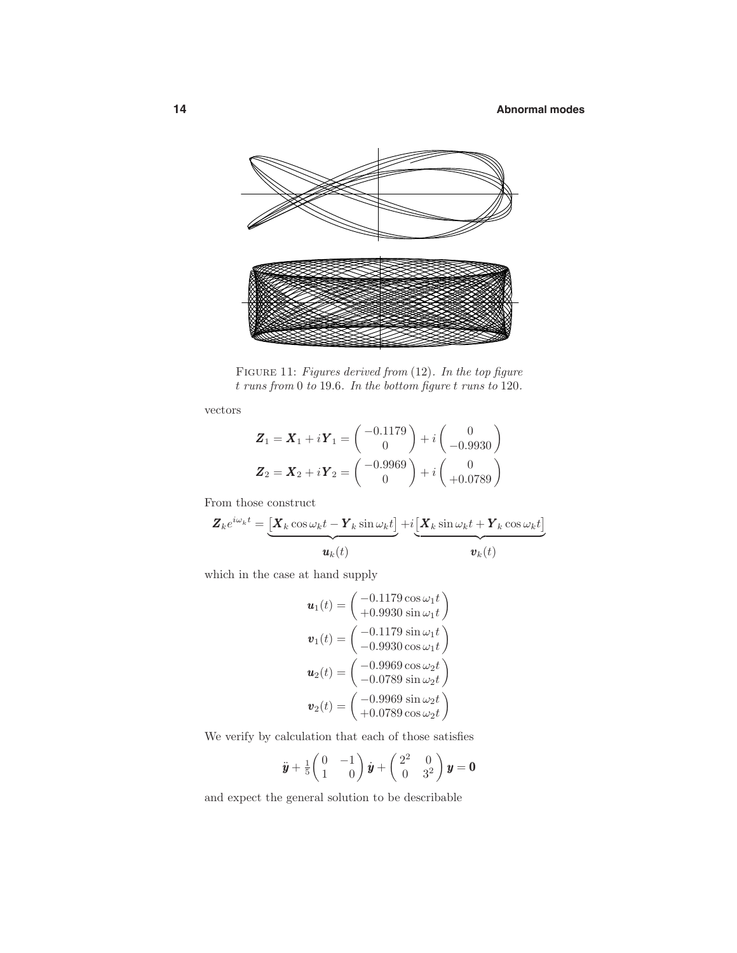

FIGURE 11: Figures derived from (12). In the top figure *t* runs from 0 to 19*.*6. In the bottom figure *t* runs to 120.

vectors

$$
\mathbf{Z}_1 = \mathbf{X}_1 + i\mathbf{Y}_1 = \begin{pmatrix} -0.1179 \\ 0 \end{pmatrix} + i \begin{pmatrix} 0 \\ -0.9930 \end{pmatrix}
$$

$$
\mathbf{Z}_2 = \mathbf{X}_2 + i\mathbf{Y}_2 = \begin{pmatrix} -0.9969 \\ 0 \end{pmatrix} + i \begin{pmatrix} 0 \\ +0.0789 \end{pmatrix}
$$

From those construct

$$
\mathbf{Z}_{k}e^{i\omega_{k}t} = \underbrace{\left[\mathbf{X}_{k}\cos\omega_{k}t - \mathbf{Y}_{k}\sin\omega_{k}t\right]}_{\mathbf{u}_{k}(t)} + i\underbrace{\left[\mathbf{X}_{k}\sin\omega_{k}t + \mathbf{Y}_{k}\cos\omega_{k}t\right]}_{\mathbf{v}_{k}(t)}
$$

which in the case at hand supply

$$
\mathbf{u}_1(t) = \begin{pmatrix} -0.1179 \cos \omega_1 t \\ +0.9930 \sin \omega_1 t \end{pmatrix}
$$

$$
\mathbf{v}_1(t) = \begin{pmatrix} -0.1179 \sin \omega_1 t \\ -0.9930 \cos \omega_1 t \end{pmatrix}
$$

$$
\mathbf{u}_2(t) = \begin{pmatrix} -0.9969 \cos \omega_2 t \\ -0.0789 \sin \omega_2 t \end{pmatrix}
$$

$$
\mathbf{v}_2(t) = \begin{pmatrix} -0.9969 \sin \omega_2 t \\ +0.0789 \cos \omega_2 t \end{pmatrix}
$$

We verify by calculation that each of those satisfies

$$
\ddot{\boldsymbol{y}} + \frac{1}{5} \begin{pmatrix} 0 & -1 \\ 1 & 0 \end{pmatrix} \dot{\boldsymbol{y}} + \begin{pmatrix} 2^2 & 0 \\ 0 & 3^2 \end{pmatrix} \boldsymbol{y} = \boldsymbol{0}
$$

and expect the general solution to be describable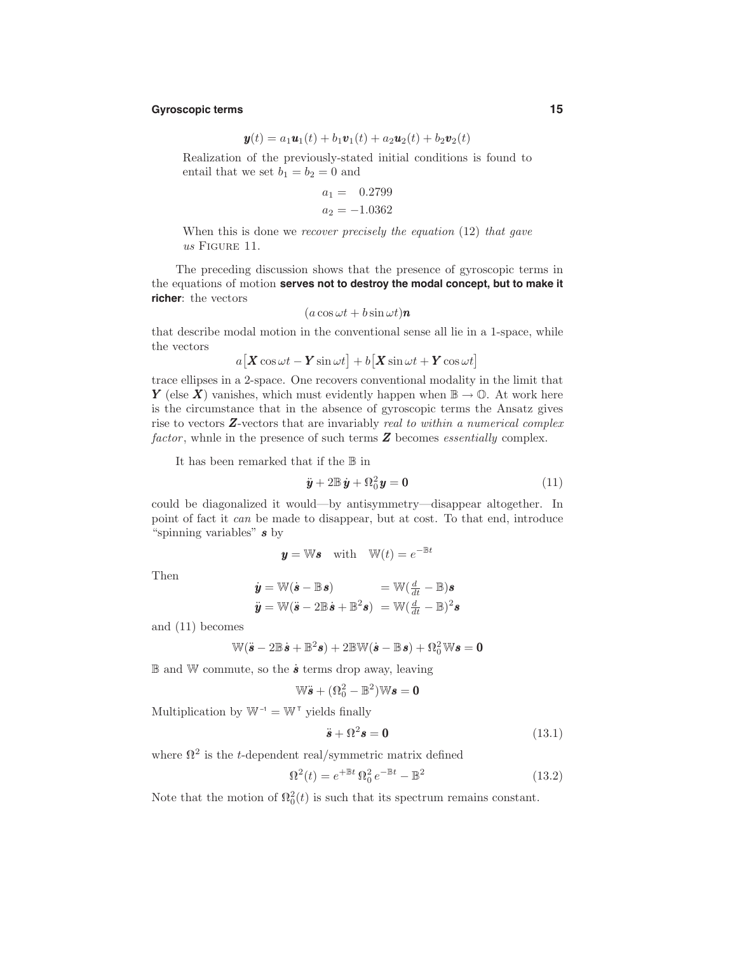## **Gyroscopic terms 15**

$$
\bm{y}(t) = a_1 \bm{u}_1(t) + b_1 \bm{v}_1(t) + a_2 \bm{u}_2(t) + b_2 \bm{v}_2(t)
$$

Realization of the previously-stated initial conditions is found to entail that we set  $b_1 = b_2 = 0$  and

$$
a_1 = 0.2799
$$
  

$$
a_2 = -1.0362
$$

When this is done we recover precisely the equation (12) that gave us FIGURE 11.

The preceding discussion shows that the presence of gyroscopic terms in the equations of motion **serves not to destroy the modal concept, but to make it richer**: the vectors

$$
(a\cos\omega t + b\sin\omega t)\mathbf{n}
$$

that describe modal motion in the conventional sense all lie in a 1-space, while the vectors

$$
a[\mathbf{X}\cos\omega t - \mathbf{Y}\sin\omega t] + b[\mathbf{X}\sin\omega t + \mathbf{Y}\cos\omega t]
$$

trace ellipses in a 2-space. One recovers conventional modality in the limit that *Y* (else *X*) vanishes, which must evidently happen when  $\mathbb{B} \to \mathbb{O}$ . At work here is the circumstance that in the absence of gyroscopic terms the Ansatz gives rise to vectors **Z**-vectors that are invariably *real to within a numerical complex* factor, whnle in the presence of such terms **Z** becomes essentially complex.

It has been remarked that if the B in

$$
\ddot{\boldsymbol{y}} + 2\mathbb{B}\,\dot{\boldsymbol{y}} + \Omega_0^2\boldsymbol{y} = \mathbf{0} \tag{11}
$$

could be diagonalized it would—by antisymmetry—disappear altogether. In point of fact it can be made to disappear, but at cost. To that end, introduce "spinning variables" *s* by

$$
y = Ws
$$
 with  $W(t) = e^{-\mathbb{B}t}$ 

Then

$$
\dot{\mathbf{y}} = \mathbb{W}(\dot{\mathbf{s}} - \mathbb{B}\mathbf{s}) = \mathbb{W}(\frac{d}{dt} - \mathbb{B})\mathbf{s}
$$
  

$$
\ddot{\mathbf{y}} = \mathbb{W}(\ddot{\mathbf{s}} - 2\mathbb{B}\dot{\mathbf{s}} + \mathbb{B}^2\mathbf{s}) = \mathbb{W}(\frac{d}{dt} - \mathbb{B})^2\mathbf{s}
$$

and (11) becomes

$$
\mathbb{W}(\ddot{\boldsymbol{s}} - 2\mathbb{B}\dot{\boldsymbol{s}} + \mathbb{B}^2\boldsymbol{s}) + 2\mathbb{B}\mathbb{W}(\dot{\boldsymbol{s}} - \mathbb{B}\boldsymbol{s}) + \Omega_0^2\mathbb{W}\boldsymbol{s} = \boldsymbol{0}
$$

B and W commute, so the *s*˙ terms drop away, leaving

$$
\mathbb{W}\ddot{\bm{s}} + (\Omega_0^2 - \mathbb{B}^2)\mathbb{W}\bm{s} = \bm{0}
$$

Multiplication by  $\mathbb{W}^{\text{-1}} = \mathbb{W}^{\text{T}}$  yields finally

$$
\ddot{\boldsymbol{s}} + \Omega^2 \boldsymbol{s} = \mathbf{0} \tag{13.1}
$$

where  $\mathbb{R}^2$  is the *t*-dependent real/symmetric matrix defined

$$
\Omega^2(t) = e^{+\mathbb{B}t} \Omega_0^2 e^{-\mathbb{B}t} - \mathbb{B}^2 \tag{13.2}
$$

Note that the motion of  $\Omega_0^2(t)$  is such that its spectrum remains constant.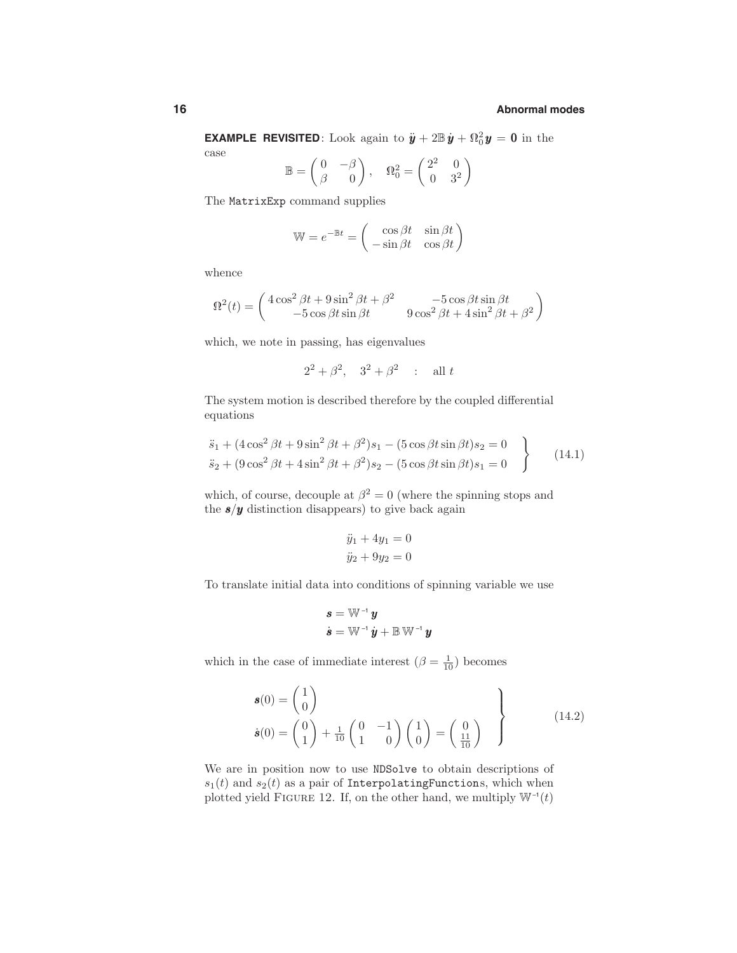**EXAMPLE REVISITED**: Look again to  $\ddot{\mathbf{y}} + 2\mathbb{B}\dot{\mathbf{y}} + \Omega_0^2 \mathbf{y} = \mathbf{0}$  in the

case

$$
\mathbb{B} = \begin{pmatrix} 0 & -\beta \\ \beta & 0 \end{pmatrix}, \quad \Omega_0^2 = \begin{pmatrix} 2^2 & 0 \\ 0 & 3^2 \end{pmatrix}
$$

The MatrixExp command supplies

$$
\mathbb{W} = e^{-\mathbb{B}t} = \begin{pmatrix} \cos \beta t & \sin \beta t \\ -\sin \beta t & \cos \beta t \end{pmatrix}
$$

whence

$$
\Omega^{2}(t) = \begin{pmatrix} 4\cos^{2}\beta t + 9\sin^{2}\beta t + \beta^{2} & -5\cos\beta t \sin\beta t \\ -5\cos\beta t \sin\beta t & 9\cos^{2}\beta t + 4\sin^{2}\beta t + \beta^{2} \end{pmatrix}
$$

which, we note in passing, has eigenvalues

$$
2^2 + \beta^2
$$
,  $3^2 + \beta^2$  : all t

The system motion is described therefore by the coupled differential equations

$$
\ddot{s}_1 + (4\cos^2\beta t + 9\sin^2\beta t + \beta^2)s_1 - (5\cos\beta t \sin\beta t)s_2 = 0
$$
  
\n
$$
\ddot{s}_2 + (9\cos^2\beta t + 4\sin^2\beta t + \beta^2)s_2 - (5\cos\beta t \sin\beta t)s_1 = 0
$$
\n(14.1)

which, of course, decouple at  $\beta^2 = 0$  (where the spinning stops and the  $\pmb{s}/\pmb{y}$  distinction disappears) to give back again

$$
\ddot{y}_1 + 4y_1 = 0
$$
  

$$
\ddot{y}_2 + 9y_2 = 0
$$

To translate initial data into conditions of spinning variable we use

$$
\begin{aligned} \boldsymbol{s} &= \mathbb{W}^{-1} \, \boldsymbol{y} \\ \dot{\boldsymbol{s}} &= \mathbb{W}^{-1} \, \dot{\boldsymbol{y}} + \mathbb{B} \, \mathbb{W}^{-1} \, \boldsymbol{y} \end{aligned}
$$

which in the case of immediate interest  $(\beta = \frac{1}{10})$  becomes

$$
\boldsymbol{s}(0) = \begin{pmatrix} 1 \\ 0 \end{pmatrix}
$$
  
\n
$$
\boldsymbol{s}(0) = \begin{pmatrix} 0 \\ 1 \end{pmatrix} + \frac{1}{10} \begin{pmatrix} 0 & -1 \\ 1 & 0 \end{pmatrix} \begin{pmatrix} 1 \\ 0 \end{pmatrix} = \begin{pmatrix} 0 \\ \frac{11}{10} \end{pmatrix}
$$
\n(14.2)

We are in position now to use NDSolve to obtain descriptions of  $s_1(t)$  and  $s_2(t)$  as a pair of InterpolatingFunctions, which when plotted yield FIGURE 12. If, on the other hand, we multiply  $\mathbb{W}^{-1}(t)$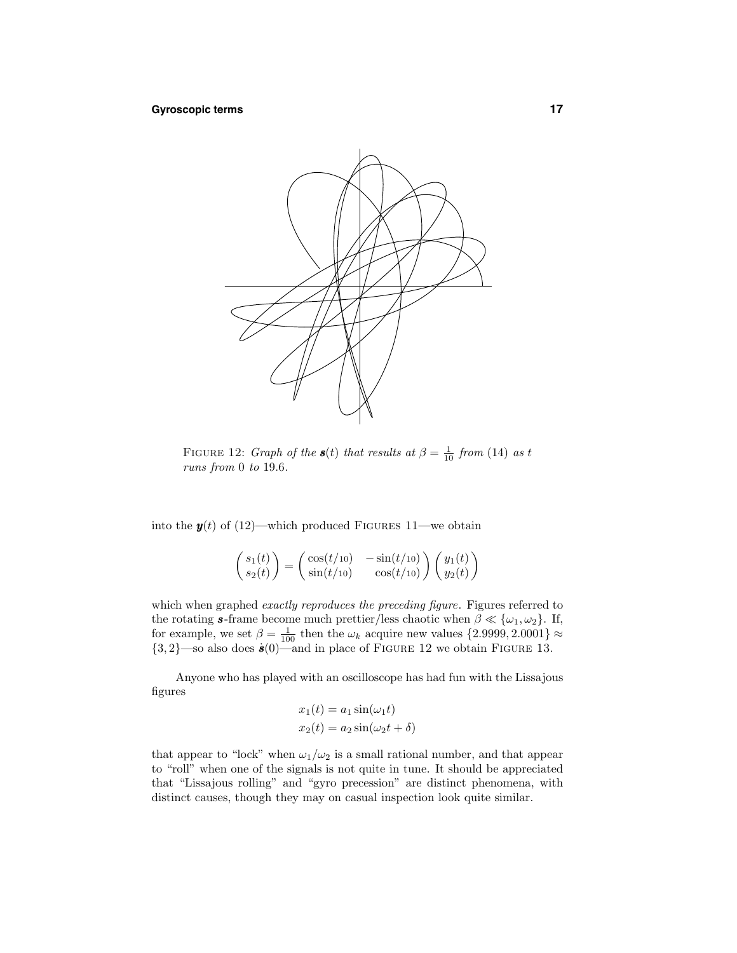

FIGURE 12: *Graph of the*  $s(t)$  *that results at*  $\beta = \frac{1}{10}$  *from* (14) *as t* runs from 0 to 19*.*6.

into the  $y(t)$  of (12)—which produced FIGURES 11—we obtain

$$
\begin{pmatrix} s_1(t) \\ s_2(t) \end{pmatrix} = \begin{pmatrix} \cos(t/10) & -\sin(t/10) \\ \sin(t/10) & \cos(t/10) \end{pmatrix} \begin{pmatrix} y_1(t) \\ y_2(t) \end{pmatrix}
$$

which when graphed *exactly reproduces the preceding figure*. Figures referred to the rotating **s**-frame become much prettier/less chaotic when  $\beta \ll {\omega_1, \omega_2}$ . If, for example, we set  $\beta = \frac{1}{100}$  then the  $\omega_k$  acquire new values  $\{2.9999, 2.0001\} \approx$  $\{3,2\}$ —so also does  $\dot{s}(0)$ —and in place of FIGURE 12 we obtain FIGURE 13.

Anyone who has played with an oscilloscope has had fun with the Lissajous figures

$$
x_1(t) = a_1 \sin(\omega_1 t)
$$
  

$$
x_2(t) = a_2 \sin(\omega_2 t + \delta)
$$

that appear to "lock" when  $\omega_1/\omega_2$  is a small rational number, and that appear to "roll" when one of the signals is not quite in tune. It should be appreciated that "Lissajous rolling" and "gyro precession" are distinct phenomena, with distinct causes, though they may on casual inspection look quite similar.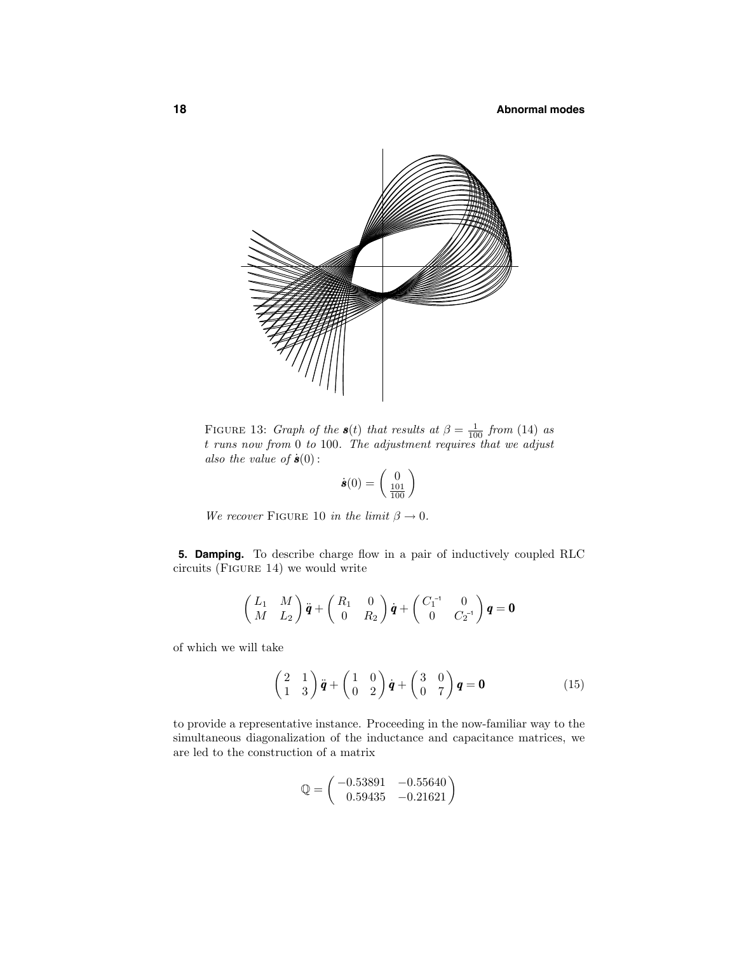

FIGURE 13: *Graph of the*  $s(t)$  that results at  $\beta = \frac{1}{100}$  from (14) as *t* runs now from 0 to 100. The adjustment requires that we adjust also the value of  $\dot{\mathbf{s}}(0)$ :

$$
\dot{\boldsymbol{s}}(0) = \begin{pmatrix} 0 \\ \frac{101}{100} \end{pmatrix}
$$

We recover FIGURE 10 in the limit  $\beta \to 0$ .

**5. Damping.** To describe charge flow in a pair of inductively coupled RLC circuits (Figure 14) we would write

$$
\begin{pmatrix} L_1 & M \ M & L_2 \end{pmatrix} \ddot{\boldsymbol{q}} + \begin{pmatrix} R_1 & 0 \ 0 & R_2 \end{pmatrix} \dot{\boldsymbol{q}} + \begin{pmatrix} C_1^{-1} & 0 \ 0 & C_2^{-1} \end{pmatrix} \boldsymbol{q} = \boldsymbol{0}
$$

of which we will take

$$
\begin{pmatrix} 2 & 1 \ 1 & 3 \end{pmatrix} \ddot{\boldsymbol{q}} + \begin{pmatrix} 1 & 0 \ 0 & 2 \end{pmatrix} \dot{\boldsymbol{q}} + \begin{pmatrix} 3 & 0 \ 0 & 7 \end{pmatrix} \boldsymbol{q} = \boldsymbol{0}
$$
 (15)

to provide a representative instance. Proceeding in the now-familiar way to the simultaneous diagonalization of the inductance and capacitance matrices, we are led to the construction of a matrix

$$
\mathbb{Q} = \begin{pmatrix} -0.53891 & -0.55640 \\ 0.59435 & -0.21621 \end{pmatrix}
$$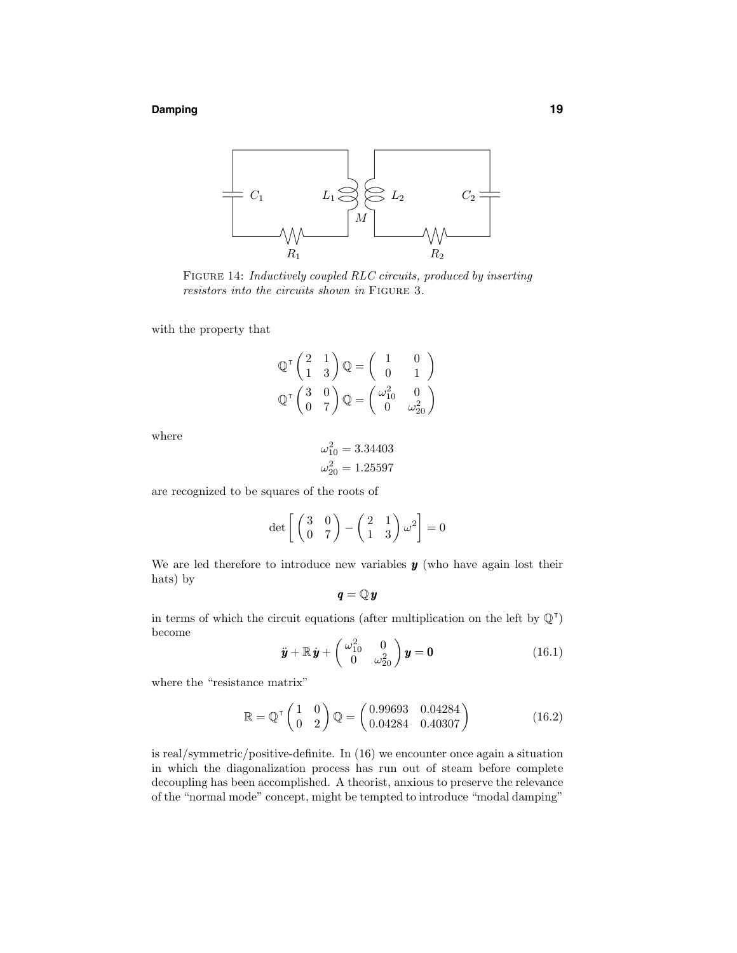#### **Damping 19**



Figure 14: Inductively coupled RLC circuits, produced by inserting resistors into the circuits shown in FIGURE 3.

with the property that

$$
\mathbb{Q}^{\mathsf{T}} \begin{pmatrix} 2 & 1 \\ 1 & 3 \end{pmatrix} \mathbb{Q} = \begin{pmatrix} 1 & 0 \\ 0 & 1 \end{pmatrix}
$$

$$
\mathbb{Q}^{\mathsf{T}} \begin{pmatrix} 3 & 0 \\ 0 & 7 \end{pmatrix} \mathbb{Q} = \begin{pmatrix} \omega_{10}^2 & 0 \\ 0 & \omega_{20}^2 \end{pmatrix}
$$

where

$$
\omega_{10}^2 = 3.34403
$$
  

$$
\omega_{20}^2 = 1.25597
$$

are recognized to be squares of the roots of

$$
\det\left[\begin{pmatrix} 3 & 0 \\ 0 & 7 \end{pmatrix} - \begin{pmatrix} 2 & 1 \\ 1 & 3 \end{pmatrix} \omega^2\right] = 0
$$

We are led therefore to introduce new variables *y* (who have again lost their hats) by

$$
\pmb{q} = \mathbb{Q}\,\pmb{y}
$$

in terms of which the circuit equations (after multiplication on the left by  $\mathbb{Q}^{\dagger}$ ) become

 $\ddot{\bm{y}}+\mathbb{R}\,\dot{\bm{y}}+\left(\begin{array}{cc} \omega_{10}^2 & 0 \ 0 & \omega^2 \end{array}\right)$  $\begin{pmatrix} y_{10}^2 & 0 \\ 0 & \omega_{20}^2 \end{pmatrix}$  **y** = **0** (16.1)

where the "resistance matrix"

$$
\mathbb{R} = \mathbb{Q}^{\mathsf{T}} \begin{pmatrix} 1 & 0 \\ 0 & 2 \end{pmatrix} \mathbb{Q} = \begin{pmatrix} 0.99693 & 0.04284 \\ 0.04284 & 0.40307 \end{pmatrix}
$$
(16.2)

is real/symmetric/positive-definite. In (16) we encounter once again a situation in which the diagonalization process has run out of steam before complete decoupling has been accomplished. A theorist, anxious to preserve the relevance of the "normal mode" concept, might be tempted to introduce "modal damping"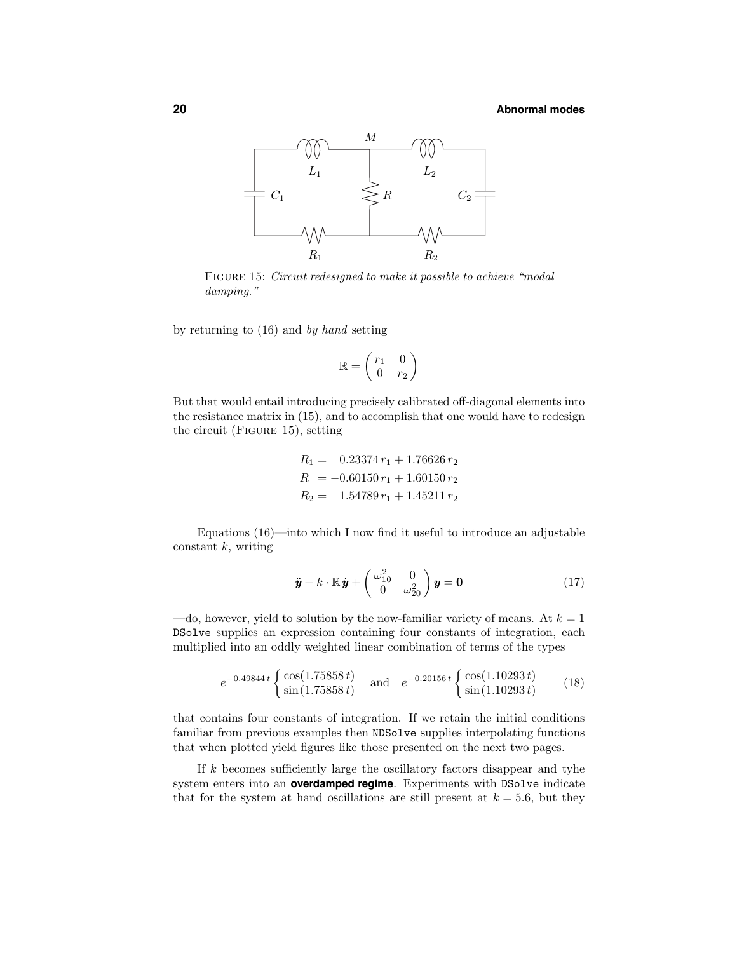

FIGURE 15: Circuit redesigned to make it possible to achieve "modal damping."

by returning to (16) and by hand setting

$$
\mathbb{R} = \begin{pmatrix} r_1 & 0 \\ 0 & r_2 \end{pmatrix}
$$

But that would entail introducing precisely calibrated off-diagonal elements into the resistance matrix in (15), and to accomplish that one would have to redesign the circuit (Figure 15), setting

$$
R_1 = 0.23374 r_1 + 1.76626 r_2
$$
  
\n
$$
R = -0.60150 r_1 + 1.60150 r_2
$$
  
\n
$$
R_2 = 1.54789 r_1 + 1.45211 r_2
$$

Equations (16)—into which I now find it useful to introduce an adjustable constant *k*, writing

$$
\ddot{\boldsymbol{y}} + k \cdot \mathbb{R} \dot{\boldsymbol{y}} + \begin{pmatrix} \omega_{10}^2 & 0 \\ 0 & \omega_{20}^2 \end{pmatrix} \boldsymbol{y} = \mathbf{0}
$$
 (17)

—do, however, yield to solution by the now-familiar variety of means. At  $k = 1$ DSolve supplies an expression containing four constants of integration, each multiplied into an oddly weighted linear combination of terms of the types

$$
e^{-0.49844t} \begin{cases} \cos(1.75858t) \\ \sin(1.75858t) \end{cases} \text{ and } e^{-0.20156t} \begin{cases} \cos(1.10293t) \\ \sin(1.10293t) \end{cases} (18)
$$

that contains four constants of integration. If we retain the initial conditions familiar from previous examples then NDSolve supplies interpolating functions that when plotted yield figures like those presented on the next two pages.

If *k* becomes sufficiently large the oscillatory factors disappear and tyhe system enters into an **overdamped regime**. Experiments with DSolve indicate that for the system at hand oscillations are still present at  $k = 5.6$ , but they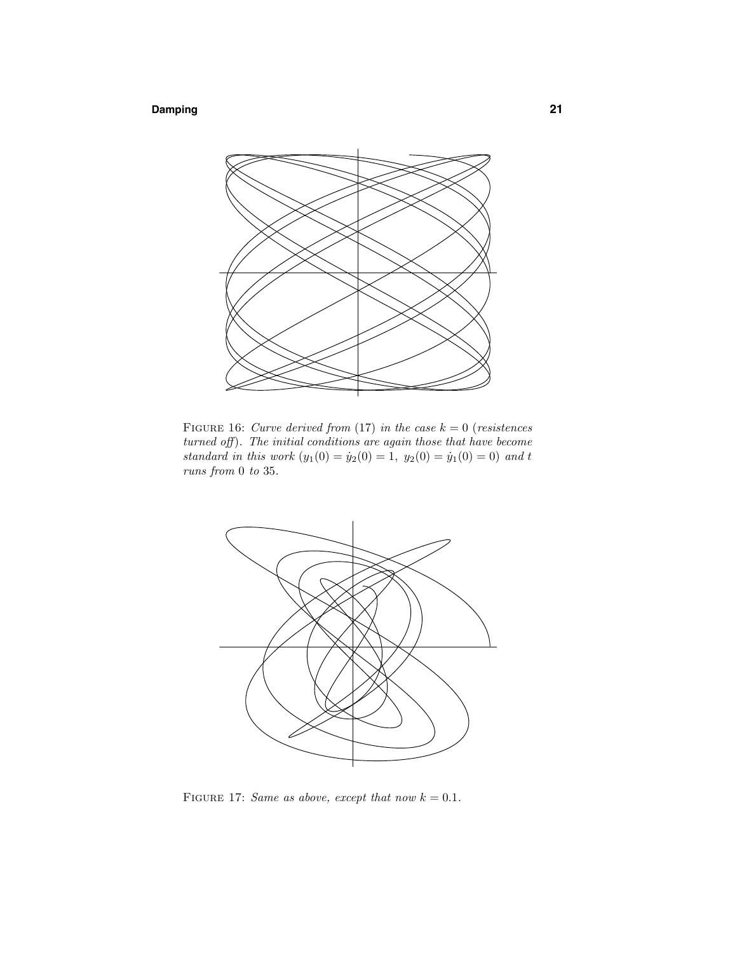# **Damping 21**



FIGURE 16: Curve derived from (17) in the case  $k = 0$  (resistences turned off). The initial conditions are again those that have become standard in this work  $(y_1(0) = y_2(0) = 1, y_2(0) = y_1(0) = 0)$  and *t* runs from 0 to 35.



FIGURE 17: Same as above, except that now  $k = 0.1$ .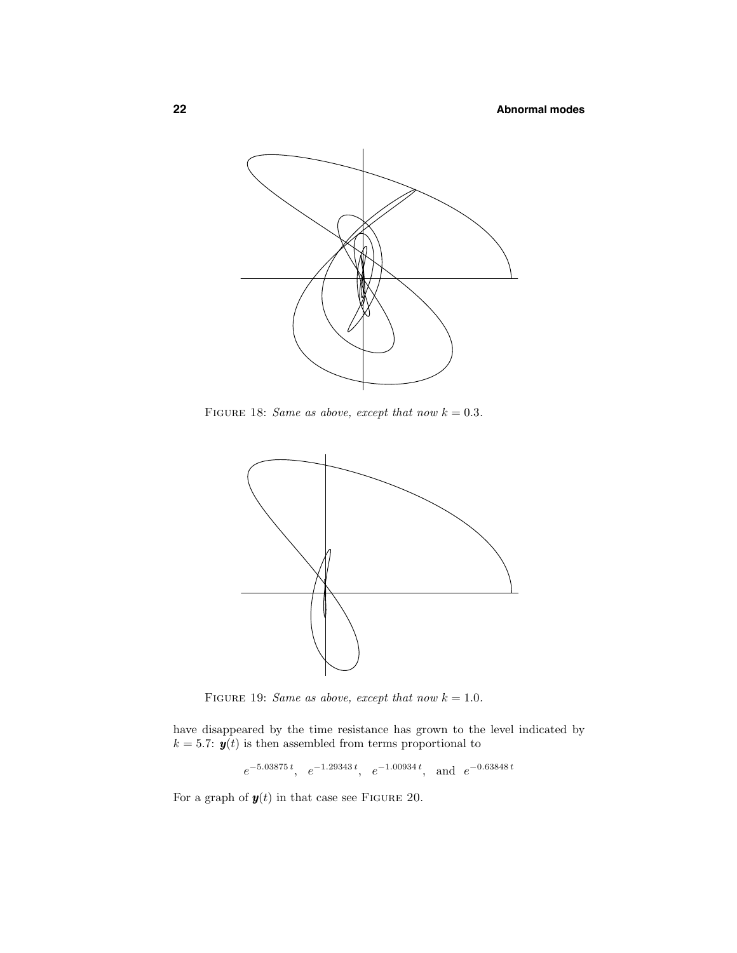

FIGURE 18: Same as above, except that now  $k = 0.3$ .



FIGURE 19: Same as above, except that now  $k = 1.0$ .

have disappeared by the time resistance has grown to the level indicated by  $k = 5.7$ :  $y(t)$  is then assembled from terms proportional to

*e*−5*.*<sup>03875</sup> *<sup>t</sup> , e*−1*.*<sup>29343</sup> *<sup>t</sup> , e*−1*.*<sup>00934</sup> *<sup>t</sup> ,* and *e*−0*.*<sup>63848</sup> *<sup>t</sup>*

For a graph of  $y(t)$  in that case see FIGURE 20.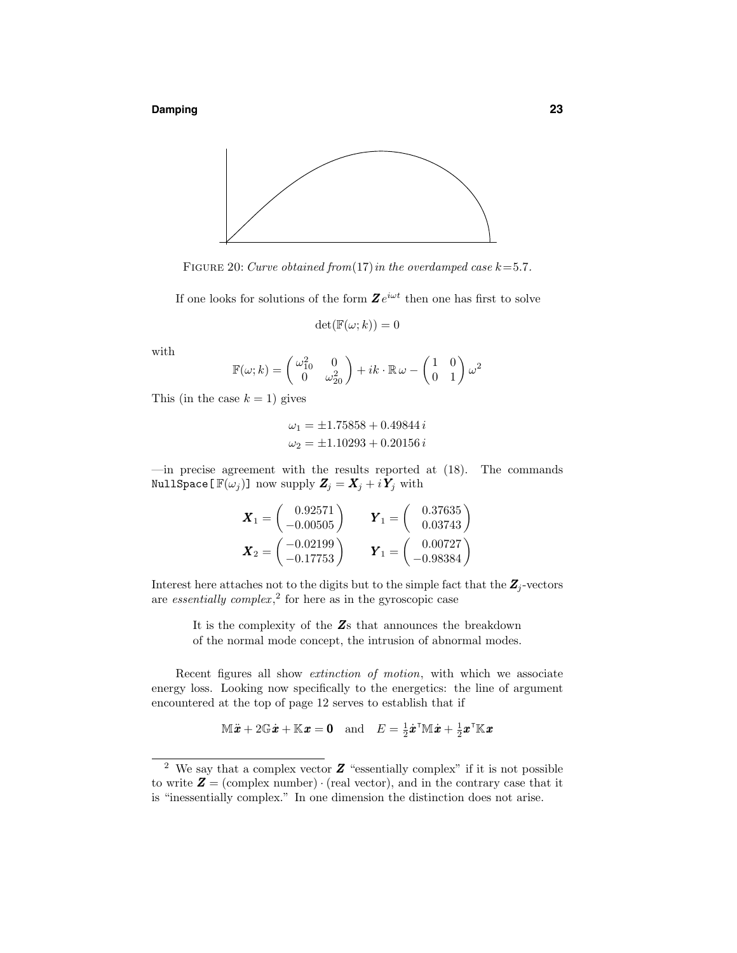**Damping 23**



FIGURE 20: Curve obtained from  $(17)$  in the overdamped case  $k=5.7$ .

If one looks for solutions of the form  $\mathbf{Z}e^{i\omega t}$  then one has first to solve

$$
\det(\mathbb{F}(\omega; k)) = 0
$$

with

$$
\mathbb{F}(\omega; k) = \begin{pmatrix} \omega_{10}^2 & 0\\ 0 & \omega_{20}^2 \end{pmatrix} + ik \cdot \mathbb{R} \omega - \begin{pmatrix} 1 & 0\\ 0 & 1 \end{pmatrix} \omega^2
$$

This (in the case  $k = 1$ ) gives

$$
\omega_1 = \pm 1.75858 + 0.49844 i
$$
  

$$
\omega_2 = \pm 1.10293 + 0.20156 i
$$

—in precise agreement with the results reported at (18). The commands NullSpace  $[\mathbb{F}(\omega_j)]$  now supply  $\mathbf{Z}_j = \mathbf{X}_j + i \mathbf{Y}_j$  with

$$
\mathbf{X}_1 = \begin{pmatrix} 0.92571 \\ -0.00505 \end{pmatrix} \qquad \mathbf{Y}_1 = \begin{pmatrix} 0.37635 \\ 0.03743 \end{pmatrix}
$$

$$
\mathbf{X}_2 = \begin{pmatrix} -0.02199 \\ -0.17753 \end{pmatrix} \qquad \mathbf{Y}_1 = \begin{pmatrix} 0.00727 \\ -0.98384 \end{pmatrix}
$$

Interest here attaches not to the digits but to the simple fact that the  $Z_j$ -vectors are *essentially complex*,<sup>2</sup> for here as in the gyroscopic case

It is the complexity of the *Z*s that announces the breakdown of the normal mode concept, the intrusion of abnormal modes.

Recent figures all show *extinction of motion*, with which we associate energy loss. Looking now specifically to the energetics: the line of argument encountered at the top of page 12 serves to establish that if

$$
\mathbb{M}\ddot{x} + 2\mathbb{G}\dot{x} + \mathbb{K}x = \mathbf{0} \quad \text{and} \quad E = \frac{1}{2}\dot{x}^{\mathsf{T}}\mathbb{M}\dot{x} + \frac{1}{2}x^{\mathsf{T}}\mathbb{K}x
$$

<sup>&</sup>lt;sup>2</sup> We say that a complex vector **Z** "essentially complex" if it is not possible to write  $\mathbf{Z} = (\text{complex number}) \cdot (\text{real vector})$ , and in the contrary case that it is "inessentially complex." In one dimension the distinction does not arise.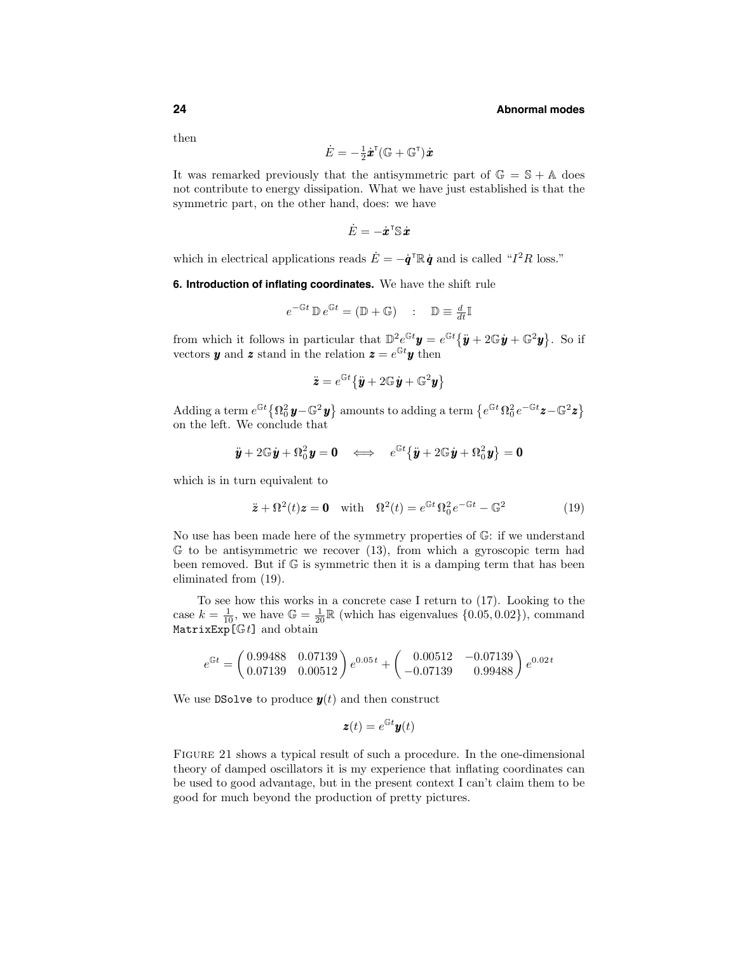then

$$
\dot{E} = -\tfrac{1}{2} \dot{\pmb{x}}^\intercal (\mathbb{G} + \mathbb{G}^\intercal) \dot{\pmb{x}}
$$

It was remarked previously that the antisymmetric part of  $\mathbb{G} = \mathbb{S} + \mathbb{A}$  does not contribute to energy dissipation. What we have just established is that the symmetric part, on the other hand, does: we have

$$
\dot{E} = -\dot{\pmb{x}}^\intercal \mathbb{S} \, \dot{\pmb{x}}
$$

which in electrical applications reads  $\dot{E} = -\dot{\boldsymbol{q}}^{\mathrm{T}} \mathbb{R} \dot{\boldsymbol{q}}$  and is called " $I^2 R$  loss."

**6. Introduction of inflating coordinates.** We have the shift rule

$$
e^{-\mathbb{G}t} \mathbb{D} e^{\mathbb{G}t} = (\mathbb{D} + \mathbb{G}) \quad : \quad \mathbb{D} \equiv \frac{d}{dt} \mathbb{I}
$$

from which it follows in particular that  $D^2e^{\mathbb{G}t}\mathbf{y} = e^{\mathbb{G}t}\{\ddot{\mathbf{y}} + 2\mathbb{G}\dot{\mathbf{y}} + \mathbb{G}^2\mathbf{y}\}\.$  So if vectors *y* and *z* stand in the relation  $z = e^{Gt}y$  then

$$
\ddot{\mathbf{z}} = e^{\mathbb{G}t} \{ \ddot{\mathbf{y}} + 2\mathbb{G}\dot{\mathbf{y}} + \mathbb{G}^2 \mathbf{y} \}
$$

 $\text{Adding a term } e^{\mathbb{G}t} \big\{ \Omega_0^2 \, \pmb{y} - \mathbb{G}^2 \, \pmb{y} \big\} \text{ amounts to adding a term } \big\{ e^{\mathbb{G}t} \, \Omega_0^2 \, e^{-\mathbb{G}t} \pmb{z} - \mathbb{G}^2 \pmb{z} \big\}$ on the left. We conclude that

$$
\ddot{\boldsymbol{y}} + 2 \mathbb{G} \dot{\boldsymbol{y}} + \Omega_0^2 \boldsymbol{y} = \boldsymbol{0} \quad \Longleftrightarrow \quad e^{\mathbb{G}t} \big\{ \ddot{\boldsymbol{y}} + 2 \mathbb{G} \dot{\boldsymbol{y}} + \Omega_0^2 \boldsymbol{y} \big\} = \boldsymbol{0}
$$

which is in turn equivalent to

$$
\ddot{\mathbf{z}} + \Omega^2(t)\mathbf{z} = \mathbf{0} \quad \text{with} \quad \Omega^2(t) = e^{\mathbb{G}t}\,\Omega_0^2\,e^{-\mathbb{G}t} - \mathbb{G}^2 \tag{19}
$$

No use has been made here of the symmetry properties of G: if we understand  $G$  to be antisymmetric we recover (13), from which a gyroscopic term had been removed. But if  $\mathbb{G}$  is symmetric then it is a damping term that has been eliminated from (19).

To see how this works in a concrete case I return to (17). Looking to the case  $k = \frac{1}{10}$ , we have  $\mathbb{G} = \frac{1}{20} \mathbb{R}$  (which has eigenvalues  $\{0.05, 0.02\}$ ), command MatrixExp[G*t*] and obtain

$$
e^{\mathbb{G}t} = \begin{pmatrix} 0.99488 & 0.07139 \\ 0.07139 & 0.00512 \end{pmatrix} e^{0.05t} + \begin{pmatrix} 0.00512 & -0.07139 \\ -0.07139 & 0.99488 \end{pmatrix} e^{0.02t}
$$

We use DSolve to produce  $y(t)$  and then construct

$$
\boldsymbol{z}(t) = e^{\mathbb{G}t}\boldsymbol{y}(t)
$$

FIGURE 21 shows a typical result of such a procedure. In the one-dimensional theory of damped oscillators it is my experience that inflating coordinates can be used to good advantage, but in the present context I can't claim them to be good for much beyond the production of pretty pictures.